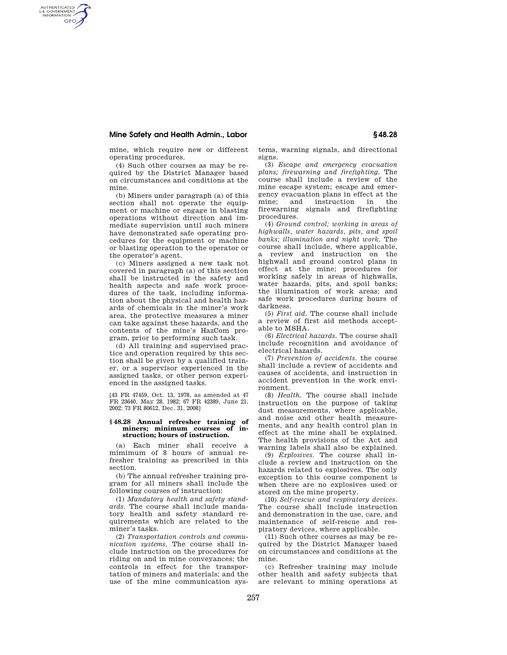# **Mine Safety and Health Admin., Labor § 48.28**

AUTHENTICATED<br>U.S. GOVERNMENT<br>INFORMATION **GPO** 

mine, which require new or different operating procedures.

(4) Such other courses as may be required by the District Manager based on circumstances and conditions at the mine.

(b) Miners under paragraph (a) of this section shall not operate the equipment or machine or engage in blasting operations without direction and immediate supervision until such miners have demonstrated safe operating procedures for the equipment or machine or blasting operation to the operator or the operator's agent.

(c) Miners assigned a new task not covered in paragraph (a) of this section shall be instructed in the safety and health aspects and safe work procedures of the task, including information about the physical and health hazards of chemicals in the miner's work area, the protective measures a miner can take against these hazards, and the contents of the mine's HazCom program, prior to performing such task.

(d) All training and supervised practice and operation required by this section shall be given by a qualified trainer, or a supervisor experienced in the assigned tasks, or other person experienced in the assigned tasks.

[43 FR 47459, Oct. 13, 1978, as amended at 47 FR 23640, May 28, 1982; 67 FR 42389, June 21, 2002; 73 FR 80612, Dec. 31, 2008]

#### **§ 48.28 Annual refresher training of miners; minimum courses of instruction; hours of instruction.**

(a) Each miner shall receive a mimimum of 8 hours of annual refresher training as prescribed in this section.

(b) The annual refresher training program for all miners shall include the following courses of instruction:

(1) *Mandatory health and safety standards.* The course shall include mandatory health and safety standard requirements which are related to the miner's tasks.

(2) *Transportation controls and communication systems.* The course shall include instruction on the procedures for riding on and in mine conveyances; the controls in effect for the transportation of miners and materials; and the use of the mine communication systems, warning signals, and directional signs.

(3) *Escape and emergency evacuation plans; firewarning and firefighting.* The course shall include a review of the mine escape system; escape and emergency evacuation plans in effect at the mine; and instruction in the firewarning signals and firefighting procedures.

(4) *Ground control; working in areas of highwalls, water hazards, pits, and spoil banks; illumination and night work.* The course shall include, where applicable, a review and instruction on the highwall and ground control plans in effect at the mine; procedures for working safely in areas of highwalls, water hazards, pits, and spoil banks; the illumination of work areas; and safe work procedures during hours of darkness.

(5) *First aid.* The course shall include a review of first aid methods acceptable to MSHA.

(6) *Electrical hazards.* The course shall include recognition and avoidance of electrical hazards.

(7) *Prevention of accidents.* the course shall include a review of accidents and causes of accidents, and instruction in accident prevention in the work environment.

(8) *Health.* The course shall include instruction on the purpose of taking dust measurements, where applicable, and noise and other health measurements, and any health control plan in effect at the mine shall be explained. The health provisions of the Act and warning labels shall also be explained.

(9) *Explosives.* The course shall include a review and instruction on the hazards related to explosives. The only exception to this course component is when there are no explosives used or stored on the mine property.

(10) *Self-rescue and respiratory devices.*  The course shall include instruction and demonstration in the use, care, and maintenance of self-rescue and respiratory devices, where applicable.

(11) Such other courses as may be required by the District Manager based on circumstances and conditions at the mine.

(c) Refresher training may include other health and safety subjects that are relevant to mining operations at